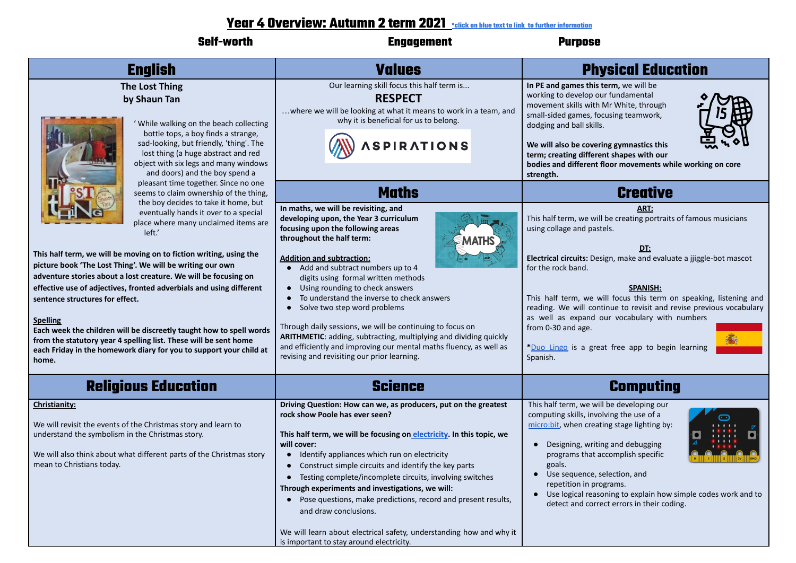## **Year 4 Overview: Autumn 2 term 2021 \*click on blue text to link to further information**

|                                                                                                                                                                                                                                                                                                                                                                                                                                                                                                                                                                                                                                                                                                                                       | <b>RUULIIIII A USTIII AVAI</b> <u>"CICK ON DIUB IBXI IO NIIK IO NITING MITOMOTOOD</u>                                                                                                                                                                                                                                                                                                                                                                                                                                                                                                                                                                                 |                                                                                                                                                                                                                                                                                                                                                                                                                                                                                                                           |
|---------------------------------------------------------------------------------------------------------------------------------------------------------------------------------------------------------------------------------------------------------------------------------------------------------------------------------------------------------------------------------------------------------------------------------------------------------------------------------------------------------------------------------------------------------------------------------------------------------------------------------------------------------------------------------------------------------------------------------------|-----------------------------------------------------------------------------------------------------------------------------------------------------------------------------------------------------------------------------------------------------------------------------------------------------------------------------------------------------------------------------------------------------------------------------------------------------------------------------------------------------------------------------------------------------------------------------------------------------------------------------------------------------------------------|---------------------------------------------------------------------------------------------------------------------------------------------------------------------------------------------------------------------------------------------------------------------------------------------------------------------------------------------------------------------------------------------------------------------------------------------------------------------------------------------------------------------------|
| <b>Self-worth</b>                                                                                                                                                                                                                                                                                                                                                                                                                                                                                                                                                                                                                                                                                                                     | <b>Engagement</b>                                                                                                                                                                                                                                                                                                                                                                                                                                                                                                                                                                                                                                                     | <b>Purpose</b>                                                                                                                                                                                                                                                                                                                                                                                                                                                                                                            |
| <b>English</b>                                                                                                                                                                                                                                                                                                                                                                                                                                                                                                                                                                                                                                                                                                                        | <b>Values</b>                                                                                                                                                                                                                                                                                                                                                                                                                                                                                                                                                                                                                                                         | <b>Physical Education</b>                                                                                                                                                                                                                                                                                                                                                                                                                                                                                                 |
| <b>The Lost Thing</b><br>by Shaun Tan<br>' While walking on the beach collecting<br>bottle tops, a boy finds a strange,<br>sad-looking, but friendly, 'thing'. The<br>lost thing (a huge abstract and red<br>object with six legs and many windows<br>and doors) and the boy spend a                                                                                                                                                                                                                                                                                                                                                                                                                                                  | Our learning skill focus this half term is<br><b>RESPECT</b><br>where we will be looking at what it means to work in a team, and<br>why it is beneficial for us to belong.<br><b>SPIRATIONS</b>                                                                                                                                                                                                                                                                                                                                                                                                                                                                       | In PE and games this term, we will be<br>working to develop our fundamental<br>movement skills with Mr White, through<br>small-sided games, focusing teamwork,<br>dodging and ball skills.<br>We will also be covering gymnastics this<br>term; creating different shapes with our<br>bodies and different floor movements while working on core<br>strength.                                                                                                                                                             |
| pleasant time together. Since no one                                                                                                                                                                                                                                                                                                                                                                                                                                                                                                                                                                                                                                                                                                  | <b>Maths</b>                                                                                                                                                                                                                                                                                                                                                                                                                                                                                                                                                                                                                                                          | <b>Creative</b>                                                                                                                                                                                                                                                                                                                                                                                                                                                                                                           |
| seems to claim ownership of the thing,<br>the boy decides to take it home, but<br>eventually hands it over to a special<br>place where many unclaimed items are<br>left.<br>This half term, we will be moving on to fiction writing, using the<br>picture book 'The Lost Thing'. We will be writing our own<br>adventure stories about a lost creature. We will be focusing on<br>effective use of adjectives, fronted adverbials and using different<br>sentence structures for effect.<br><b>Spelling</b><br>Each week the children will be discreetly taught how to spell words<br>from the statutory year 4 spelling list. These will be sent home<br>each Friday in the homework diary for you to support your child at<br>home. | In maths, we will be revisiting, and<br>developing upon, the Year 3 curriculum<br>focusing upon the following areas<br>throughout the half term:<br><b>Addition and subtraction:</b><br>• Add and subtract numbers up to 4<br>digits using formal written methods<br>• Using rounding to check answers<br>To understand the inverse to check answers<br>Solve two step word problems<br>$\bullet$<br>Through daily sessions, we will be continuing to focus on<br>ARITHMETIC: adding, subtracting, multiplying and dividing quickly<br>and efficiently and improving our mental maths fluency, as well as<br>revising and revisiting our prior learning.              | ART:<br>This half term, we will be creating portraits of famous musicians<br>using collage and pastels.<br><u>DT:</u><br>Electrical circuits: Design, make and evaluate a jjiggle-bot mascot<br>for the rock band.<br><b>SPANISH:</b><br>This half term, we will focus this term on speaking, listening and<br>reading. We will continue to revisit and revise previous vocabulary<br>as well as expand our vocabulary with numbers<br>from 0-30 and age.<br>*Duo Lingo is a great free app to begin learning<br>Spanish. |
| <b>Religious Education</b>                                                                                                                                                                                                                                                                                                                                                                                                                                                                                                                                                                                                                                                                                                            | <b>Science</b>                                                                                                                                                                                                                                                                                                                                                                                                                                                                                                                                                                                                                                                        | <b>Computing</b>                                                                                                                                                                                                                                                                                                                                                                                                                                                                                                          |
| Christianity:<br>We will revisit the events of the Christmas story and learn to<br>understand the symbolism in the Christmas story.<br>We will also think about what different parts of the Christmas story<br>mean to Christians today.                                                                                                                                                                                                                                                                                                                                                                                                                                                                                              | Driving Question: How can we, as producers, put on the greatest<br>rock show Poole has ever seen?<br>This half term, we will be focusing on electricity. In this topic, we<br>will cover:<br>Identify appliances which run on electricity<br>$\bullet$<br>Construct simple circuits and identify the key parts<br>Testing complete/incomplete circuits, involving switches<br>$\bullet$<br>Through experiments and investigations, we will:<br>Pose questions, make predictions, record and present results,<br>$\bullet$<br>and draw conclusions.<br>We will learn about electrical safety, understanding how and why it<br>is important to stay around electricity. | This half term, we will be developing our<br>computing skills, involving the use of a<br>micro:bit, when creating stage lighting by:<br>• Designing, writing and debugging<br>programs that accomplish specific<br>goals.<br>Use sequence, selection, and<br>repetition in programs.<br>Use logical reasoning to explain how simple codes work and to<br>$\bullet$<br>detect and correct errors in their coding.                                                                                                          |